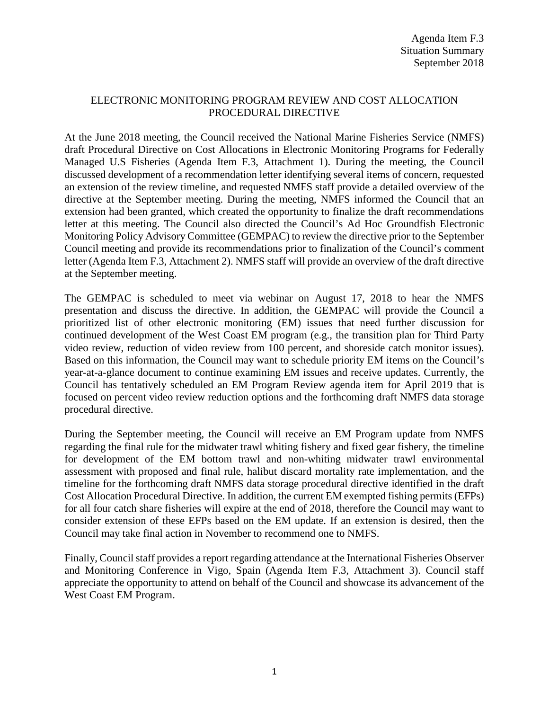# ELECTRONIC MONITORING PROGRAM REVIEW AND COST ALLOCATION PROCEDURAL DIRECTIVE

At the June 2018 meeting, the Council received the National Marine Fisheries Service (NMFS) draft Procedural Directive on Cost Allocations in Electronic Monitoring Programs for Federally Managed U.S Fisheries (Agenda Item F.3, Attachment 1). During the meeting, the Council discussed development of a recommendation letter identifying several items of concern, requested an extension of the review timeline, and requested NMFS staff provide a detailed overview of the directive at the September meeting. During the meeting, NMFS informed the Council that an extension had been granted, which created the opportunity to finalize the draft recommendations letter at this meeting. The Council also directed the Council's Ad Hoc Groundfish Electronic Monitoring Policy Advisory Committee (GEMPAC) to review the directive prior to the September Council meeting and provide its recommendations prior to finalization of the Council's comment letter (Agenda Item F.3, Attachment 2). NMFS staff will provide an overview of the draft directive at the September meeting.

The GEMPAC is scheduled to meet via webinar on August 17, 2018 to hear the NMFS presentation and discuss the directive. In addition, the GEMPAC will provide the Council a prioritized list of other electronic monitoring (EM) issues that need further discussion for continued development of the West Coast EM program (e.g., the transition plan for Third Party video review, reduction of video review from 100 percent, and shoreside catch monitor issues). Based on this information, the Council may want to schedule priority EM items on the Council's year-at-a-glance document to continue examining EM issues and receive updates. Currently, the Council has tentatively scheduled an EM Program Review agenda item for April 2019 that is focused on percent video review reduction options and the forthcoming draft NMFS data storage procedural directive.

During the September meeting, the Council will receive an EM Program update from NMFS regarding the final rule for the midwater trawl whiting fishery and fixed gear fishery, the timeline for development of the EM bottom trawl and non-whiting midwater trawl environmental assessment with proposed and final rule, halibut discard mortality rate implementation, and the timeline for the forthcoming draft NMFS data storage procedural directive identified in the draft Cost Allocation Procedural Directive. In addition, the current EM exempted fishing permits(EFPs) for all four catch share fisheries will expire at the end of 2018, therefore the Council may want to consider extension of these EFPs based on the EM update. If an extension is desired, then the Council may take final action in November to recommend one to NMFS.

Finally, Council staff provides a report regarding attendance at the International Fisheries Observer and Monitoring Conference in Vigo, Spain (Agenda Item F.3, Attachment 3). Council staff appreciate the opportunity to attend on behalf of the Council and showcase its advancement of the West Coast EM Program.